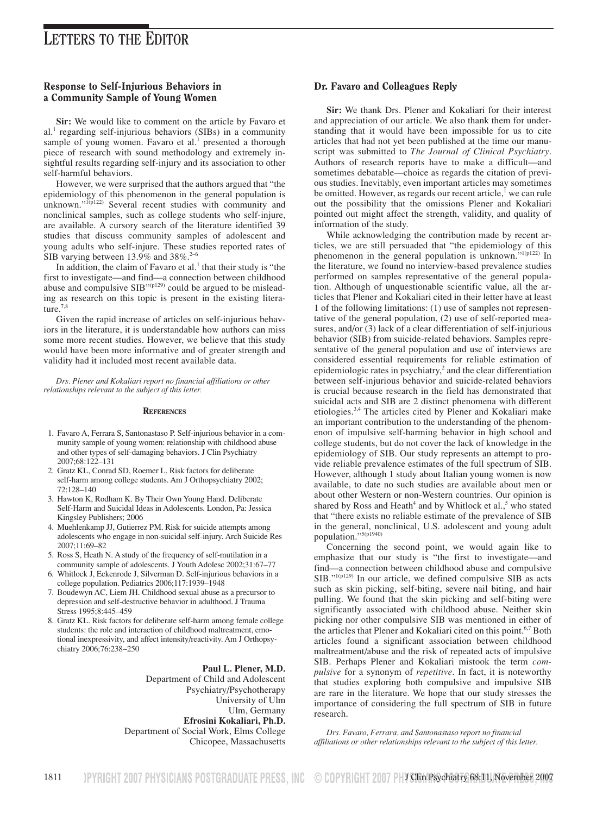# Response to Self-Injurious Behaviors in a Community Sample of Young Women

**Sir:** We would like to comment on the article by Favaro et al. $<sup>1</sup>$  regarding self-injurious behaviors (SIBs) in a community</sup> sample of young women. Favaro et al.<sup>1</sup> presented a thorough piece of research with sound methodology and extremely insightful results regarding self-injury and its association to other self-harmful behaviors.

However, we were surprised that the authors argued that "the epidemiology of this phenomenon in the general population is unknown."<sup>1(p122)</sup> Several recent studies with community and nonclinical samples, such as college students who self-injure, are available. A cursory search of the literature identified 39 studies that discuss community samples of adolescent and young adults who self-injure. These studies reported rates of SIB varying between 13.9% and 38%.<sup>2-6</sup>

In addition, the claim of Favaro et al.<sup>1</sup> that their study is "the first to investigate––and find––a connection between childhood abuse and compulsive  $SIB^{\prime\prime(p129)}$  could be argued to be misleading as research on this topic is present in the existing literature.<sup>7,8</sup>

Given the rapid increase of articles on self-injurious behaviors in the literature, it is understandable how authors can miss some more recent studies. However, we believe that this study would have been more informative and of greater strength and validity had it included most recent available data.

*Drs. Plener and Kokaliari report no financial affiliations or other relationships relevant to the subject of this letter.*

### **REFERENCES**

- 1. Favaro A, Ferrara S, Santonastaso P. Self-injurious behavior in a community sample of young women: relationship with childhood abuse and other types of self-damaging behaviors. J Clin Psychiatry 2007;68:122–131
- 2. Gratz KL, Conrad SD, Roemer L. Risk factors for deliberate self-harm among college students. Am J Orthopsychiatry 2002; 72:128–140
- 3. Hawton K, Rodham K. By Their Own Young Hand. Deliberate Self-Harm and Suicidal Ideas in Adolescents. London, Pa: Jessica Kingsley Publishers; 2006
- 4. Muehlenkamp JJ, Gutierrez PM. Risk for suicide attempts among adolescents who engage in non-suicidal self-injury. Arch Suicide Res 2007;11:69–82
- 5. Ross S, Heath N. A study of the frequency of self-mutilation in a community sample of adolescents. J Youth Adolesc 2002;31:67–77
- 6. Whitlock J, Eckenrode J, Silverman D. Self-injurious behaviors in a college population. Pediatrics 2006;117:1939–1948
- 7. Boudewyn AC, Liem JH. Childhood sexual abuse as a precursor to depression and self-destructive behavior in adulthood. J Trauma Stress 1995;8:445–459
- 8. Gratz KL. Risk factors for deliberate self-harm among female college students: the role and interaction of childhood maltreatment, emotional inexpressivity, and affect intensity/reactivity. Am J Orthopsychiatry 2006;76:238–250

#### **Paul L. Plener, M.D.**

Department of Child and Adolescent Psychiatry/Psychotherapy University of Ulm Ulm, Germany **Efrosini Kokaliari, Ph.D.** Department of Social Work, Elms College Chicopee, Massachusetts

### Dr. Favaro and Colleagues Reply

**Sir:** We thank Drs. Plener and Kokaliari for their interest and appreciation of our article. We also thank them for understanding that it would have been impossible for us to cite articles that had not yet been published at the time our manuscript was submitted to *The Journal of Clinical Psychiatry*. Authors of research reports have to make a difficult-and sometimes debatable––choice as regards the citation of previous studies. Inevitably, even important articles may sometimes be omitted. However, as regards our recent article,<sup>1</sup> we can rule out the possibility that the omissions Plener and Kokaliari pointed out might affect the strength, validity, and quality of information of the study.

While acknowledging the contribution made by recent articles, we are still persuaded that "the epidemiology of this phenomenon in the general population is unknown."<sup>1(p122)</sup> In the literature, we found no interview-based prevalence studies performed on samples representative of the general population. Although of unquestionable scientific value, all the articles that Plener and Kokaliari cited in their letter have at least 1 of the following limitations: (1) use of samples not representative of the general population, (2) use of self-reported measures, and/or (3) lack of a clear differentiation of self-injurious behavior (SIB) from suicide-related behaviors. Samples representative of the general population and use of interviews are considered essential requirements for reliable estimation of epidemiologic rates in psychiatry, $\frac{2}{3}$  and the clear differentiation between self-injurious behavior and suicide-related behaviors is crucial because research in the field has demonstrated that suicidal acts and SIB are 2 distinct phenomena with different etiologies.3,4 The articles cited by Plener and Kokaliari make an important contribution to the understanding of the phenomenon of impulsive self-harming behavior in high school and college students, but do not cover the lack of knowledge in the epidemiology of SIB. Our study represents an attempt to provide reliable prevalence estimates of the full spectrum of SIB. However, although 1 study about Italian young women is now available, to date no such studies are available about men or about other Western or non-Western countries. Our opinion is shared by Ross and Heath<sup>4</sup> and by Whitlock et al.,<sup>5</sup> who stated that "there exists no reliable estimate of the prevalence of SIB in the general, nonclinical, U.S. adolescent and young adult population."5(p1940)

Concerning the second point, we would again like to emphasize that our study is "the first to investigate—and find—a connection between childhood abuse and compulsive  $SIB.^{"1(p129)}$  In our article, we defined compulsive SIB as acts such as skin picking, self-biting, severe nail biting, and hair pulling. We found that the skin picking and self-biting were significantly associated with childhood abuse. Neither skin picking nor other compulsive SIB was mentioned in either of the articles that Plener and Kokaliari cited on this point.<sup>6,7</sup> Both articles found a significant association between childhood maltreatment/abuse and the risk of repeated acts of impulsive SIB. Perhaps Plener and Kokaliari mistook the term *compulsive* for a synonym of *repetitive*. In fact, it is noteworthy that studies exploring both compulsive and impulsive SIB are rare in the literature. We hope that our study stresses the importance of considering the full spectrum of SIB in future research.

*Drs. Favaro, Ferrara, and Santonastaso report no financial affiliations or other relationships relevant to the subject of this letter.*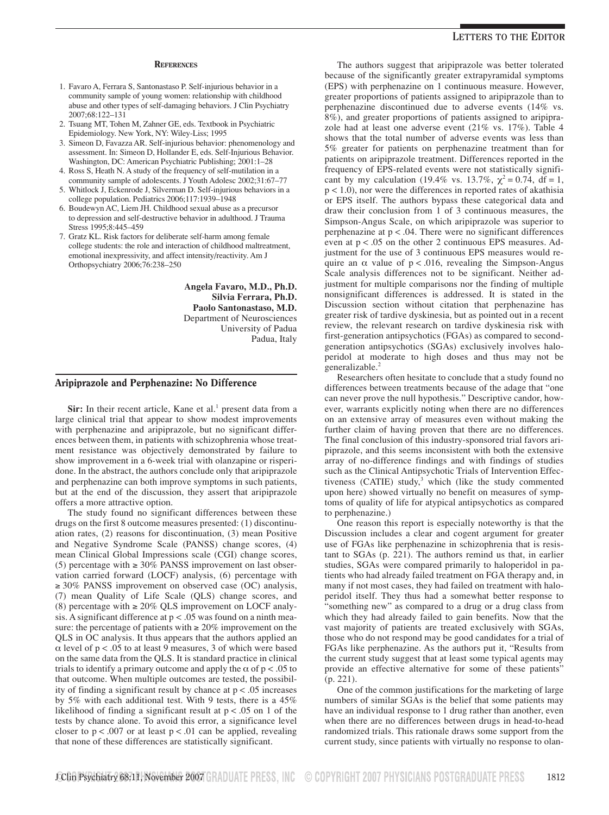#### **REFERENCES**

- 1. Favaro A, Ferrara S, Santonastaso P. Self-injurious behavior in a community sample of young women: relationship with childhood abuse and other types of self-damaging behaviors. J Clin Psychiatry 2007;68:122–131
- 2. Tsuang MT, Tohen M, Zahner GE, eds. Textbook in Psychiatric Epidemiology. New York, NY: Wiley-Liss; 1995
- 3. Simeon D, Favazza AR. Self-injurious behavior: phenomenology and assessment. In: Simeon D, Hollander E, eds. Self-Injurious Behavior. Washington, DC: American Psychiatric Publishing; 2001:1–28
- 4. Ross S, Heath N. A study of the frequency of self-mutilation in a community sample of adolescents. J Youth Adolesc 2002;31:67–77
- 5. Whitlock J, Eckenrode J, Silverman D. Self-injurious behaviors in a college population. Pediatrics 2006;117:1939–1948
- 6. Boudewyn AC, Liem JH. Childhood sexual abuse as a precursor to depression and self-destructive behavior in adulthood. J Trauma Stress 1995;8:445–459
- 7. Gratz KL. Risk factors for deliberate self-harm among female college students: the role and interaction of childhood maltreatment, emotional inexpressivity, and affect intensity/reactivity. Am J Orthopsychiatry 2006;76:238–250

**Angela Favaro, M.D., Ph.D. Silvia Ferrara, Ph.D. Paolo Santonastaso, M.D.** Department of Neurosciences University of Padua Padua, Italy

### Aripiprazole and Perphenazine: No Difference

**Sir:** In their recent article, Kane et al.<sup>1</sup> present data from a large clinical trial that appear to show modest improvements with perphenazine and aripiprazole, but no significant differences between them, in patients with schizophrenia whose treatment resistance was objectively demonstrated by failure to show improvement in a 6-week trial with olanzapine or risperidone. In the abstract, the authors conclude only that aripiprazole and perphenazine can both improve symptoms in such patients, but at the end of the discussion, they assert that aripiprazole offers a more attractive option.

The study found no significant differences between these drugs on the first 8 outcome measures presented: (1) discontinuation rates, (2) reasons for discontinuation, (3) mean Positive and Negative Syndrome Scale (PANSS) change scores, (4) mean Clinical Global Impressions scale (CGI) change scores, (5) percentage with  $\geq 30\%$  PANSS improvement on last observation carried forward (LOCF) analysis, (6) percentage with  $\geq$  30% PANSS improvement on observed case (OC) analysis, (7) mean Quality of Life Scale (QLS) change scores, and (8) percentage with  $\geq 20\%$  QLS improvement on LOCF analysis. A significant difference at p < .05 was found on a ninth measure: the percentage of patients with  $\geq 20\%$  improvement on the QLS in OC analysis. It thus appears that the authors applied an  $\alpha$  level of  $p < .05$  to at least 9 measures, 3 of which were based on the same data from the QLS. It is standard practice in clinical trials to identify a primary outcome and apply the  $\alpha$  of  $p < .05$  to that outcome. When multiple outcomes are tested, the possibility of finding a significant result by chance at  $p < .05$  increases by 5% with each additional test. With 9 tests, there is a 45% likelihood of finding a significant result at  $p < .05$  on 1 of the tests by chance alone. To avoid this error, a significance level closer to  $p < .007$  or at least  $p < .01$  can be applied, revealing that none of these differences are statistically significant.

# **LETTERS TO THE EDITOR**

The authors suggest that aripiprazole was better tolerated because of the significantly greater extrapyramidal symptoms (EPS) with perphenazine on 1 continuous measure. However, greater proportions of patients assigned to aripiprazole than to perphenazine discontinued due to adverse events (14% vs. 8%), and greater proportions of patients assigned to aripiprazole had at least one adverse event (21% vs. 17%). Table 4 shows that the total number of adverse events was less than 5% greater for patients on perphenazine treatment than for patients on aripiprazole treatment. Differences reported in the frequency of EPS-related events were not statistically significant by my calculation (19.4% vs. 13.7%,  $\chi^2 = 0.74$ , df = 1, p < 1.0), nor were the differences in reported rates of akathisia or EPS itself. The authors bypass these categorical data and draw their conclusion from 1 of 3 continuous measures, the Simpson-Angus Scale, on which aripiprazole was superior to perphenazine at  $p < .04$ . There were no significant differences even at  $p < .05$  on the other 2 continuous EPS measures. Adjustment for the use of 3 continuous EPS measures would require an  $\alpha$  value of  $p < .016$ , revealing the Simpson-Angus Scale analysis differences not to be significant. Neither adjustment for multiple comparisons nor the finding of multiple nonsignificant differences is addressed. It is stated in the Discussion section without citation that perphenazine has greater risk of tardive dyskinesia, but as pointed out in a recent review, the relevant research on tardive dyskinesia risk with first-generation antipsychotics (FGAs) as compared to secondgeneration antipsychotics (SGAs) exclusively involves haloperidol at moderate to high doses and thus may not be generalizable.<sup>2</sup>

Researchers often hesitate to conclude that a study found no differences between treatments because of the adage that "one can never prove the null hypothesis." Descriptive candor, however, warrants explicitly noting when there are no differences on an extensive array of measures even without making the further claim of having proven that there are no differences. The final conclusion of this industry-sponsored trial favors aripiprazole, and this seems inconsistent with both the extensive array of no-difference findings and with findings of studies such as the Clinical Antipsychotic Trials of Intervention Effectiveness (CATIE) study, $3$  which (like the study commented upon here) showed virtually no benefit on measures of symptoms of quality of life for atypical antipsychotics as compared to perphenazine.)

One reason this report is especially noteworthy is that the Discussion includes a clear and cogent argument for greater use of FGAs like perphenazine in schizophrenia that is resistant to SGAs (p. 221). The authors remind us that, in earlier studies, SGAs were compared primarily to haloperidol in patients who had already failed treatment on FGA therapy and, in many if not most cases, they had failed on treatment with haloperidol itself. They thus had a somewhat better response to "something new" as compared to a drug or a drug class from which they had already failed to gain benefits. Now that the vast majority of patients are treated exclusively with SGAs, those who do not respond may be good candidates for a trial of FGAs like perphenazine. As the authors put it, "Results from the current study suggest that at least some typical agents may provide an effective alternative for some of these patients" (p. 221).

One of the common justifications for the marketing of large numbers of similar SGAs is the belief that some patients may have an individual response to 1 drug rather than another, even when there are no differences between drugs in head-to-head randomized trials. This rationale draws some support from the current study, since patients with virtually no response to olan-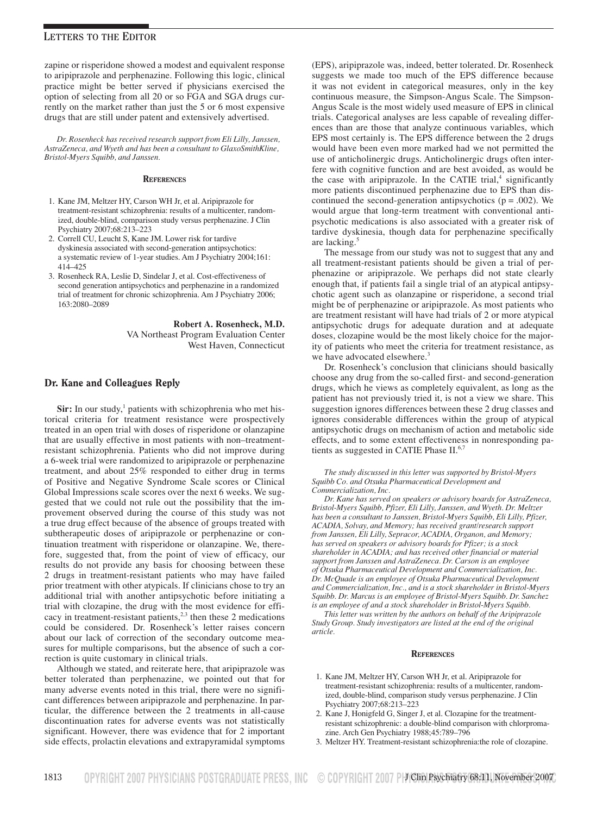zapine or risperidone showed a modest and equivalent response to aripiprazole and perphenazine. Following this logic, clinical practice might be better served if physicians exercised the option of selecting from all 20 or so FGA and SGA drugs currently on the market rather than just the 5 or 6 most expensive drugs that are still under patent and extensively advertised.

*Dr. Rosenheck has received research support from Eli Lilly, Janssen, AstraZeneca, and Wyeth and has been a consultant to GlaxoSmithKline, Bristol-Myers Squibb, and Janssen.*

#### **REFERENCES**

- 1. Kane JM, Meltzer HY, Carson WH Jr, et al. Aripiprazole for treatment-resistant schizophrenia: results of a multicenter, randomized, double-blind, comparison study versus perphenazine. J Clin Psychiatry 2007;68:213–223
- 2. Correll CU, Leucht S, Kane JM. Lower risk for tardive dyskinesia associated with second-generation antipsychotics: a systematic review of 1-year studies. Am J Psychiatry 2004;161: 414–425
- 3. Rosenheck RA, Leslie D, Sindelar J, et al. Cost-effectiveness of second generation antipsychotics and perphenazine in a randomized trial of treatment for chronic schizophrenia. Am J Psychiatry 2006; 163:2080–2089

**Robert A. Rosenheck, M.D.** VA Northeast Program Evaluation Center West Haven, Connecticut

### Dr. Kane and Colleagues Reply

Sir: In our study,<sup>1</sup> patients with schizophrenia who met historical criteria for treatment resistance were prospectively treated in an open trial with doses of risperidone or olanzapine that are usually effective in most patients with non–treatmentresistant schizophrenia. Patients who did not improve during a 6-week trial were randomized to aripiprazole or perphenazine treatment, and about 25% responded to either drug in terms of Positive and Negative Syndrome Scale scores or Clinical Global Impressions scale scores over the next 6 weeks. We suggested that we could not rule out the possibility that the improvement observed during the course of this study was not a true drug effect because of the absence of groups treated with subtherapeutic doses of aripiprazole or perphenazine or continuation treatment with risperidone or olanzapine. We, therefore, suggested that, from the point of view of efficacy, our results do not provide any basis for choosing between these 2 drugs in treatment-resistant patients who may have failed prior treatment with other atypicals. If clinicians chose to try an additional trial with another antipsychotic before initiating a trial with clozapine, the drug with the most evidence for efficacy in treatment-resistant patients,<sup>2,3</sup> then these 2 medications could be considered. Dr. Rosenheck's letter raises concern about our lack of correction of the secondary outcome measures for multiple comparisons, but the absence of such a correction is quite customary in clinical trials.

Although we stated, and reiterate here, that aripiprazole was better tolerated than perphenazine, we pointed out that for many adverse events noted in this trial, there were no significant differences between aripiprazole and perphenazine. In particular, the difference between the 2 treatments in all-cause discontinuation rates for adverse events was not statistically significant. However, there was evidence that for 2 important side effects, prolactin elevations and extrapyramidal symptoms

(EPS), aripiprazole was, indeed, better tolerated. Dr. Rosenheck suggests we made too much of the EPS difference because it was not evident in categorical measures, only in the key continuous measure, the Simpson-Angus Scale. The Simpson-Angus Scale is the most widely used measure of EPS in clinical trials. Categorical analyses are less capable of revealing differences than are those that analyze continuous variables, which EPS most certainly is. The EPS difference between the 2 drugs would have been even more marked had we not permitted the use of anticholinergic drugs. Anticholinergic drugs often interfere with cognitive function and are best avoided, as would be the case with aripiprazole. In the CATIE trial, $4$  significantly more patients discontinued perphenazine due to EPS than discontinued the second-generation antipsychotics ( $p = .002$ ). We would argue that long-term treatment with conventional antipsychotic medications is also associated with a greater risk of tardive dyskinesia, though data for perphenazine specifically are lacking.5

The message from our study was not to suggest that any and all treatment-resistant patients should be given a trial of perphenazine or aripiprazole. We perhaps did not state clearly enough that, if patients fail a single trial of an atypical antipsychotic agent such as olanzapine or risperidone, a second trial might be of perphenazine or aripiprazole. As most patients who are treatment resistant will have had trials of 2 or more atypical antipsychotic drugs for adequate duration and at adequate doses, clozapine would be the most likely choice for the majority of patients who meet the criteria for treatment resistance, as we have advocated elsewhere.<sup>3</sup>

Dr. Rosenheck's conclusion that clinicians should basically choose any drug from the so-called first- and second-generation drugs, which he views as completely equivalent, as long as the patient has not previously tried it, is not a view we share. This suggestion ignores differences between these 2 drug classes and ignores considerable differences within the group of atypical antipsychotic drugs on mechanism of action and metabolic side effects, and to some extent effectiveness in nonresponding patients as suggested in CATIE Phase II.<sup>6,7</sup>

#### *The study discussed in this letter was supported by Bristol-Myers Squibb Co. and Otsuka Pharmaceutical Development and Commercialization, Inc.*

*Dr. Kane has served on speakers or advisory boards for AstraZeneca, Bristol-Myers Squibb, Pfizer, Eli Lilly, Janssen, and Wyeth. Dr. Meltzer has been a consultant to Janssen, Bristol-Myers Squibb, Eli Lilly, Pfizer, ACADIA, Solvay, and Memory; has received grant/research support from Janssen, Eli Lilly, Sepracor, ACADIA, Organon, and Memory; has served on speakers or advisory boards for Pfizer; is a stock shareholder in ACADIA; and has received other financial or material support from Janssen and AstraZeneca. Dr. Carson is an employee of Otsuka Pharmaceutical Development and Commercialization, Inc. Dr. McQuade is an employee of Otsuka Pharmaceutical Development and Commercialization, Inc., and is a stock shareholder in Bristol-Myers Squibb. Dr. Marcus is an employee of Bristol-Myers Squibb. Dr. Sanchez is an employee of and a stock shareholder in Bristol-Myers Squibb.*

*This letter was written by the authors on behalf of the Aripiprazole Study Group. Study investigators are listed at the end of the original article.*

#### **REFERENCES**

- 1. Kane JM, Meltzer HY, Carson WH Jr, et al. Aripiprazole for treatment-resistant schizophrenia: results of a multicenter, randomized, double-blind, comparison study versus perphenazine. J Clin Psychiatry 2007;68:213–223
- 2. Kane J, Honigfeld G, Singer J, et al. Clozapine for the treatmentresistant schizophrenic: a double-blind comparison with chlorpromazine. Arch Gen Psychiatry 1988;45:789–796
- 3. Meltzer HY. Treatment-resistant schizophrenia:the role of clozapine.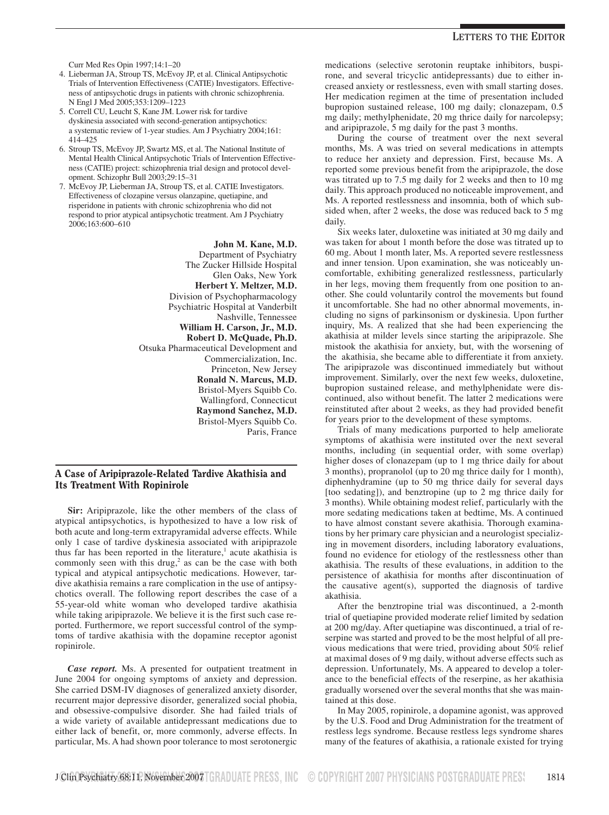Curr Med Res Opin 1997;14:1–20

- 4. Lieberman JA, Stroup TS, McEvoy JP, et al. Clinical Antipsychotic Trials of Intervention Effectiveness (CATIE) Investigators. Effectiveness of antipsychotic drugs in patients with chronic schizophrenia. N Engl J Med 2005;353:1209–1223
- 5. Correll CU, Leucht S, Kane JM. Lower risk for tardive dyskinesia associated with second-generation antipsychotics: a systematic review of 1-year studies. Am J Psychiatry 2004;161: 414–425
- 6. Stroup TS, McEvoy JP, Swartz MS, et al. The National Institute of Mental Health Clinical Antipsychotic Trials of Intervention Effectiveness (CATIE) project: schizophrenia trial design and protocol development. Schizophr Bull 2003;29:15–31
- 7. McEvoy JP, Lieberman JA, Stroup TS, et al. CATIE Investigators. Effectiveness of clozapine versus olanzapine, quetiapine, and risperidone in patients with chronic schizophrenia who did not respond to prior atypical antipsychotic treatment. Am J Psychiatry 2006;163:600–610

**John M. Kane, M.D.** Department of Psychiatry The Zucker Hillside Hospital Glen Oaks, New York **Herbert Y. Meltzer, M.D.** Division of Psychopharmacology Psychiatric Hospital at Vanderbilt Nashville, Tennessee **William H. Carson, Jr., M.D. Robert D. McQuade, Ph.D.** Otsuka Pharmaceutical Development and Commercialization, Inc. Princeton, New Jersey **Ronald N. Marcus, M.D.** Bristol-Myers Squibb Co. Wallingford, Connecticut **Raymond Sanchez, M.D.** Bristol-Myers Squibb Co. Paris, France

# A Case of Aripiprazole-Related Tardive Akathisia and Its Treatment With Ropinirole

**Sir:** Aripiprazole, like the other members of the class of atypical antipsychotics, is hypothesized to have a low risk of both acute and long-term extrapyramidal adverse effects. While only 1 case of tardive dyskinesia associated with aripiprazole thus far has been reported in the literature, $<sup>1</sup>$  acute akathisia is</sup> commonly seen with this drug, $2$  as can be the case with both typical and atypical antipsychotic medications. However, tardive akathisia remains a rare complication in the use of antipsychotics overall. The following report describes the case of a 55-year-old white woman who developed tardive akathisia while taking aripiprazole. We believe it is the first such case reported. Furthermore, we report successful control of the symptoms of tardive akathisia with the dopamine receptor agonist ropinirole.

*Case report.* Ms. A presented for outpatient treatment in June 2004 for ongoing symptoms of anxiety and depression. She carried DSM-IV diagnoses of generalized anxiety disorder, recurrent major depressive disorder, generalized social phobia, and obsessive-compulsive disorder. She had failed trials of a wide variety of available antidepressant medications due to either lack of benefit, or, more commonly, adverse effects. In particular, Ms. A had shown poor tolerance to most serotonergic medications (selective serotonin reuptake inhibitors, buspirone, and several tricyclic antidepressants) due to either increased anxiety or restlessness, even with small starting doses. Her medication regimen at the time of presentation included bupropion sustained release, 100 mg daily; clonazepam, 0.5 mg daily; methylphenidate, 20 mg thrice daily for narcolepsy; and aripiprazole, 5 mg daily for the past 3 months.

During the course of treatment over the next several months, Ms. A was tried on several medications in attempts to reduce her anxiety and depression. First, because Ms. A reported some previous benefit from the aripiprazole, the dose was titrated up to 7.5 mg daily for 2 weeks and then to 10 mg daily. This approach produced no noticeable improvement, and Ms. A reported restlessness and insomnia, both of which subsided when, after 2 weeks, the dose was reduced back to 5 mg daily.

Six weeks later, duloxetine was initiated at 30 mg daily and was taken for about 1 month before the dose was titrated up to 60 mg. About 1 month later, Ms. A reported severe restlessness and inner tension. Upon examination, she was noticeably uncomfortable, exhibiting generalized restlessness, particularly in her legs, moving them frequently from one position to another. She could voluntarily control the movements but found it uncomfortable. She had no other abnormal movements, including no signs of parkinsonism or dyskinesia. Upon further inquiry, Ms. A realized that she had been experiencing the akathisia at milder levels since starting the aripiprazole. She mistook the akathisia for anxiety, but, with the worsening of the akathisia, she became able to differentiate it from anxiety. The aripiprazole was discontinued immediately but without improvement. Similarly, over the next few weeks, duloxetine, bupropion sustained release, and methylphenidate were discontinued, also without benefit. The latter 2 medications were reinstituted after about 2 weeks, as they had provided benefit for years prior to the development of these symptoms.

Trials of many medications purported to help ameliorate symptoms of akathisia were instituted over the next several months, including (in sequential order, with some overlap) higher doses of clonazepam (up to 1 mg thrice daily for about 3 months), propranolol (up to 20 mg thrice daily for 1 month), diphenhydramine (up to 50 mg thrice daily for several days [too sedating]), and benztropine (up to 2 mg thrice daily for 3 months). While obtaining modest relief, particularly with the more sedating medications taken at bedtime, Ms. A continued to have almost constant severe akathisia. Thorough examinations by her primary care physician and a neurologist specializing in movement disorders, including laboratory evaluations, found no evidence for etiology of the restlessness other than akathisia. The results of these evaluations, in addition to the persistence of akathisia for months after discontinuation of the causative agent(s), supported the diagnosis of tardive akathisia.

After the benztropine trial was discontinued, a 2-month trial of quetiapine provided moderate relief limited by sedation at 200 mg/day. After quetiapine was discontinued, a trial of reserpine was started and proved to be the most helpful of all previous medications that were tried, providing about 50% relief at maximal doses of 9 mg daily, without adverse effects such as depression. Unfortunately, Ms. A appeared to develop a tolerance to the beneficial effects of the reserpine, as her akathisia gradually worsened over the several months that she was maintained at this dose.

In May 2005, ropinirole, a dopamine agonist, was approved by the U.S. Food and Drug Administration for the treatment of restless legs syndrome. Because restless legs syndrome shares many of the features of akathisia, a rationale existed for trying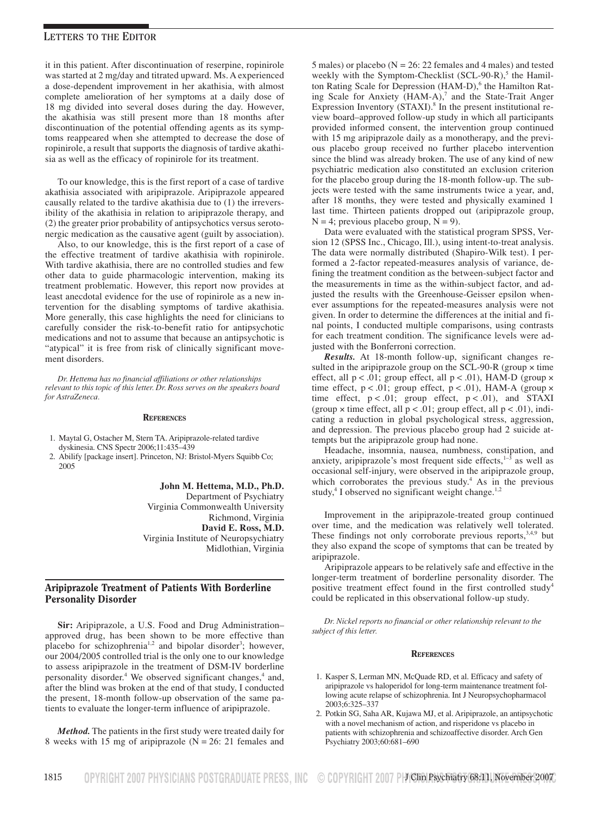it in this patient. After discontinuation of reserpine, ropinirole was started at 2 mg/day and titrated upward. Ms. A experienced a dose-dependent improvement in her akathisia, with almost complete amelioration of her symptoms at a daily dose of 18 mg divided into several doses during the day. However, the akathisia was still present more than 18 months after discontinuation of the potential offending agents as its symptoms reappeared when she attempted to decrease the dose of ropinirole, a result that supports the diagnosis of tardive akathisia as well as the efficacy of ropinirole for its treatment.

To our knowledge, this is the first report of a case of tardive akathisia associated with aripiprazole. Aripiprazole appeared causally related to the tardive akathisia due to (1) the irreversibility of the akathisia in relation to aripiprazole therapy, and (2) the greater prior probability of antipsychotics versus serotonergic medication as the causative agent (guilt by association).

Also, to our knowledge, this is the first report of a case of the effective treatment of tardive akathisia with ropinirole. With tardive akathisia, there are no controlled studies and few other data to guide pharmacologic intervention, making its treatment problematic. However, this report now provides at least anecdotal evidence for the use of ropinirole as a new intervention for the disabling symptoms of tardive akathisia. More generally, this case highlights the need for clinicians to carefully consider the risk-to-benefit ratio for antipsychotic medications and not to assume that because an antipsychotic is "atypical" it is free from risk of clinically significant movement disorders.

*Dr. Hettema has no financial affiliations or other relationships relevant to this topic of this letter. Dr. Ross serves on the speakers board for AstraZeneca.*

### **REFERENCES**

- 1. Maytal G, Ostacher M, Stern TA. Aripiprazole-related tardive dyskinesia. CNS Spectr 2006;11:435–439
- 2. Abilify [package insert]. Princeton, NJ: Bristol-Myers Squibb Co; 2005

**John M. Hettema, M.D., Ph.D.** Department of Psychiatry Virginia Commonwealth University Richmond, Virginia **David E. Ross, M.D.** Virginia Institute of Neuropsychiatry Midlothian, Virginia

### Aripiprazole Treatment of Patients With Borderline Personality Disorder

**Sir:** Aripiprazole, a U.S. Food and Drug Administration– approved drug, has been shown to be more effective than placebo for schizophrenia<sup>1,2</sup> and bipolar disorder<sup>3</sup>; however, our 2004/2005 controlled trial is the only one to our knowledge to assess aripiprazole in the treatment of DSM-IV borderline personality disorder.<sup>4</sup> We observed significant changes,<sup>4</sup> and, after the blind was broken at the end of that study, I conducted the present, 18-month follow-up observation of the same patients to evaluate the longer-term influence of aripiprazole.

*Method.* The patients in the first study were treated daily for 8 weeks with 15 mg of aripiprazole (N = 26: 21 females and 5 males) or placebo ( $N = 26$ : 22 females and 4 males) and tested weekly with the Symptom-Checklist  $(SCL-90-R)$ ,<sup>5</sup> the Hamilton Rating Scale for Depression (HAM-D),<sup>6</sup> the Hamilton Rating Scale for Anxiety (HAM-A),<sup>7</sup> and the State-Trait Anger Expression Inventory (STAXI). $8$  In the present institutional review board–approved follow-up study in which all participants provided informed consent, the intervention group continued with 15 mg aripiprazole daily as a monotherapy, and the previous placebo group received no further placebo intervention since the blind was already broken. The use of any kind of new psychiatric medication also constituted an exclusion criterion for the placebo group during the 18-month follow-up. The subjects were tested with the same instruments twice a year, and, after 18 months, they were tested and physically examined 1 last time. Thirteen patients dropped out (aripiprazole group,  $N = 4$ ; previous placebo group,  $N = 9$ ).

Data were evaluated with the statistical program SPSS, Version 12 (SPSS Inc., Chicago, Ill.), using intent-to-treat analysis. The data were normally distributed (Shapiro-Wilk test). I performed a 2-factor repeated-measures analysis of variance, defining the treatment condition as the between-subject factor and the measurements in time as the within-subject factor, and adjusted the results with the Greenhouse-Geisser epsilon whenever assumptions for the repeated-measures analysis were not given. In order to determine the differences at the initial and final points, I conducted multiple comparisons, using contrasts for each treatment condition. The significance levels were adjusted with the Bonferroni correction.

*Results.* At 18-month follow-up, significant changes resulted in the aripiprazole group on the SCL-90-R (group  $\times$  time effect, all  $p < .01$ ; group effect, all  $p < .01$ ), HAM-D (group  $\times$ time effect,  $p < .01$ ; group effect,  $p < .01$ ), HAM-A (group  $\times$ time effect,  $p < .01$ ; group effect,  $p < .01$ ), and STAXI (group  $\times$  time effect, all  $p < .01$ ; group effect, all  $p < .01$ ), indicating a reduction in global psychological stress, aggression, and depression. The previous placebo group had 2 suicide attempts but the aripiprazole group had none.

Headache, insomnia, nausea, numbness, constipation, and anxiety, aripiprazole's most frequent side effects, $1-\frac{3}{3}$  as well as occasional self-injury, were observed in the aripiprazole group, which corroborates the previous study.<sup>4</sup> As in the previous study,<sup>4</sup> I observed no significant weight change.<sup>1,2</sup>

Improvement in the aripiprazole-treated group continued over time, and the medication was relatively well tolerated. These findings not only corroborate previous reports,<sup>3,4,9</sup> but they also expand the scope of symptoms that can be treated by aripiprazole.

Aripiprazole appears to be relatively safe and effective in the longer-term treatment of borderline personality disorder. The positive treatment effect found in the first controlled study<sup>4</sup> could be replicated in this observational follow-up study.

*Dr. Nickel reports no financial or other relationship relevant to the subject of this letter.*

#### **REFERENCES**

- 1. Kasper S, Lerman MN, McQuade RD, et al. Efficacy and safety of aripiprazole vs haloperidol for long-term maintenance treatment following acute relapse of schizophrenia. Int J Neuropsychopharmacol 2003;6:325–337
- 2. Potkin SG, Saha AR, Kujawa MJ, et al. Aripiprazole, an antipsychotic with a novel mechanism of action, and risperidone vs placebo in patients with schizophrenia and schizoaffective disorder. Arch Gen Psychiatry 2003;60:681–690